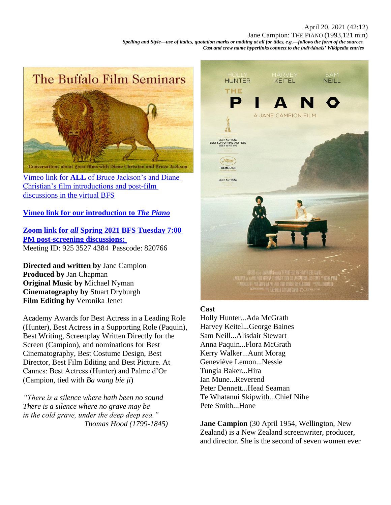### April 20, 2021 (42:12)

 Jane Campion: THE PIANO (1993,121 min) *Spelling and Style—use of italics, quotation marks or nothing at all for titles, e.g.—follows the form of the sources. Cast and crew name hyperlinks connect to the individuals' Wikipedia entries*

# The Buffalo Film Seminars



Vimeo link for **ALL** [of Bruce Jackson's and Diane](https://vimeo.com/user80710589)  [Christian's film introductions and post-film](https://vimeo.com/user80710589)  [discussions in the virtual BFS](https://vimeo.com/user80710589)

# **Vimeo [link for our introduction to](https://vimeo.com/538169090)** *The Piano*

**[Zoom link for](https://buffalo.zoom.us/j/92535274384?pwd=aGdFWDA4RURQMmFOQmcxR01FNzRaQT09)** *all* **Spring 2021 BFS Tuesday 7:00 PM [post-screening discussions:](https://buffalo.zoom.us/j/92535274384?pwd=aGdFWDA4RURQMmFOQmcxR01FNzRaQT09)** Meeting ID: 925 3527 4384 Passcode: 820766

**Directed and written by** Jane Campion **Produced by** Jan Chapman **Original Music by** Michael Nyman **Cinematography by** Stuart Dryburgh **Film Editing by** Veronika Jenet

Academy Awards for Best Actress in a Leading Role (Hunter), Best Actress in a Supporting Role (Paquin), Best Writing, Screenplay Written Directly for the Screen (Campion), and nominations for Best Cinematography, Best Costume Design, Best Director, Best Film Editing and Best Picture. At Cannes: Best Actress (Hunter) and Palme d'Or (Campion, tied with *Ba wang bie ji*)

*"There is a silence where hath been no sound There is a silence where no grave may be in the cold grave, under the deep deep sea." Thomas Hood (1799-1845)*



## **Cast**

Holly Hunter...Ada McGrath Harvey Keitel...George Baines Sam Neill...Alisdair Stewart Anna Paquin...Flora McGrath Kerry Walker...Aunt Morag Geneviève Lemon...Nessie Tungia Baker...Hira Ian Mune...Reverend Peter Dennett...Head Seaman Te Whatanui Skipwith...Chief Nihe Pete Smith...Hone

**Jane Campion** (30 April 1954, Wellington, New Zealand) is a New Zealand screenwriter, producer, and director. She is the second of seven women ever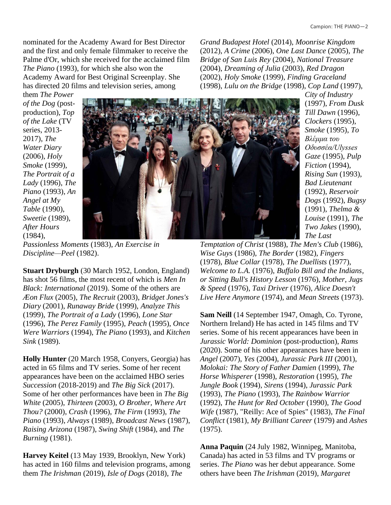nominated for the Academy Award for Best Director and the first and only female filmmaker to receive the Palme d'Or, which she received for the acclaimed film *The Piano* (1993), for which she also won the Academy Award for Best Original Screenplay. She has directed 20 films and television series, among

*Grand Budapest Hotel* (2014), *Moonrise Kingdom*  (2012), *A Crime* (2006), *One Last Dance* (2005), *The Bridge of San Luis Rey* (2004), *National Treasure* (2004), *Dreaming of Julia* (2003), *Red Dragon* (2002), *Holy Smoke* (1999), *Finding Graceland*  (1998), *Lulu on the Bridge* (1998), *Cop Land* (1997),

them *The Power of the Dog* (postproduction), *Top of the Lake* (TV series, 2013- 2017), *The Water Diary* (2006), *Holy Smoke* (1999), *The Portrait of a Lady* (1996), *The Piano* (1993), *An Angel at My Table* (1990), *Sweetie* (1989), *After Hours* (1984),



*Passionless Moments* (1983), *An Exercise in Discipline—Peel* (1982).

**Stuart Dryburgh** (30 March 1952, London, England) has shot 56 films, the most recent of which is *Men In Black: International (2019).* Some of the others are *Æon Flux* (2005), *The Recruit* (2003), *Bridget Jones's Diary* (2001), *Runaway Bride* (1999), *Analyze This* (1999), *The Portrait of a Lady* (1996), *Lone Star* (1996), *The Perez Family* (1995), *Peach* (1995), *Once Were Warriors* (1994), *The Piano* (1993), and *Kitchen Sink* (1989).

**Holly Hunter** (20 March 1958, Conyers, Georgia) has acted in 65 films and TV series. Some of her recent appearances have been on the acclaimed HBO series *Succession* (2018-2019) and *The Big Sick* (2017). Some of her other performances have been in *The Big White* (2005), *Thirteen* (2003), *O Brother, Where Art Thou?* (2000), *Crash* (1996), *The Firm* (1993), *The Piano* (1993), *Always* (1989), *Broadcast News* (1987), *Raising Arizona* (1987), *Swing Shift* (1984), and *The Burning* (1981).

**Harvey Keitel** (13 May 1939, Brooklyn, New York) has acted in 160 films and television programs, among them *The Irishman* (2019), *Isle of Dogs* (2018), *The* 

*City of Industry* (1997), *From Dusk Till Dawn* (1996), *Clockers* (1995), *Smoke* (1995), *To Βλέμμα του Οδυσσέα/Ulysses Gaze* (1995), *Pulp Fiction* (1994), *Rising Sun* (1993), *Bad Lieutenant* (1992), *Reservoir Dogs* (1992), *Bugsy* (1991), *Thelma & Louise* (1991), *The Two Jakes* (1990), *The Last* 

*Temptation of Christ* (1988), *The Men's Club* (1986), *Wise Guys* (1986), *The Border* (1982), *Fingers* (1978), *Blue Collar* (1978), *The Duellists* (1977), *Welcome to L.A.* (1976), *Buffalo Bill and the Indians, or Sitting Bull's History Lesson* (1976), *Mother, Jugs & Speed* (1976), *Taxi Driver* (1976), *Alice Doesn't Live Here Anymore* (1974), and *Mean Streets* (1973).

**Sam Neill** (14 September 1947, Omagh, Co. Tyrone, Northern Ireland) He has acted in 145 films and TV series. Some of his recent appearances have been in *Jurassic World: Dominion* (post-production), *Rams*  (2020). Some of his other appearances have been in *Angel* (2007), *Yes* (2004), *Jurassic Park III* (2001), *Molokai: The Story of Father Damien* (1999), *The Horse Whisperer* (1998), *Restoration* (1995), *The Jungle Book* (1994), *Sirens* (1994), *Jurassic Park* (1993), *The Piano* (1993), *The Rainbow Warrior* (1992), *The Hunt for Red October* (1990), *The Good Wife* (1987), "Reilly: Ace of Spies" (1983), *The Final Conflict* (1981), *My Brilliant Career* (1979) and *Ashes* (1975).

**Anna Paquin** (24 July 1982, Winnipeg, Manitoba, Canada) has acted in 53 films and TV programs or series. *The Piano* was her debut appearance. Some others have been *The Irishman* (2019), *Margaret*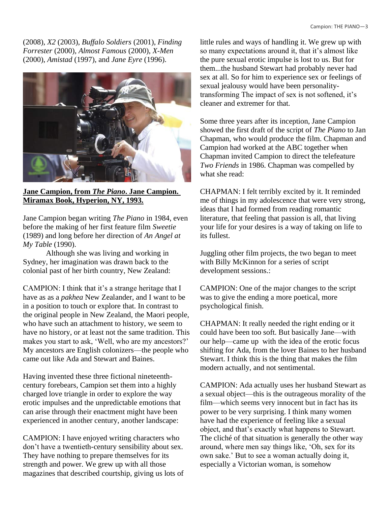(2008), *X2* (2003), *Buffalo Soldiers* (2001), *Finding Forrester* (2000), *Almost Famous* (2000), *X-Men*  (2000), *Amistad* (1997), and *Jane Eyre* (1996).



**Jane Campion, from** *The Piano***. Jane Campion. Miramax Book, Hyperion, NY, 1993.**

Jane Campion began writing *The Piano* in 1984, even before the making of her first feature film *Sweetie*  (1989) and long before her direction of *An Angel at My Table* (1990).

Although she was living and working in Sydney, her imagination was drawn back to the colonial past of her birth country, New Zealand:

CAMPION: I think that it's a strange heritage that I have as as a *pakhea* New Zealander, and I want to be in a position to touch or explore that. In contrast to the original people in New Zealand, the Maori people, who have such an attachment to history, we seem to have no history, or at least not the same tradition. This makes you start to ask, 'Well, who are my ancestors?' My ancestors are English colonizers—the people who came out like Ada and Stewart and Baines.

Having invented these three fictional nineteenthcentury forebears, Campion set them into a highly charged love triangle in order to explore the way erotic impulses and the unpredictable emotions that can arise through their enactment might have been experienced in another century, another landscape:

CAMPION: I have enjoyed writing characters who don't have a twentieth-century sensibility about sex. They have nothing to prepare themselves for its strength and power. We grew up with all those magazines that described courtship, giving us lots of little rules and ways of handling it. We grew up with so many expectations around it, that it's almost like the pure sexual erotic impulse is lost to us. But for them...the husband Stewart had probably never had sex at all. So for him to experience sex or feelings of sexual jealousy would have been personalitytransforming The impact of sex is not softened, it's cleaner and extremer for that.

Some three years after its inception, Jane Campion showed the first draft of the script of *The Piano* to Jan Chapman, who would produce the film. Chapman and Campion had worked at the ABC together when Chapman invited Campion to direct the telefeature *Two Friends* in 1986. Chapman was compelled by what she read:

CHAPMAN: I felt terribly excited by it. It reminded me of things in my adolescence that were very strong, ideas that I had formed from reading romantic literature, that feeling that passion is all, that living your life for your desires is a way of taking on life to its fullest.

Juggling other film projects, the two began to meet with Billy McKinnon for a series of script development sessions.:

CAMPION: One of the major changes to the script was to give the ending a more poetical, more psychological finish.

CHAPMAN: It really needed the right ending or it could have been too soft. But basically Jane—with our help—came up with the idea of the erotic focus shifting for Ada, from the lover Baines to her husband Stewart. I think this is the thing that makes the film modern actually, and not sentimental.

CAMPION: Ada actually uses her husband Stewart as a sexual object—this is the outrageous morality of the film—which seems very innocent but in fact has its power to be very surprising. I think many women have had the experience of feeling like a sexual object, and that's exactly what happens to Stewart. The cliché of that situation is generally the other way around, where men say things like, 'Oh, sex for its own sake.' But to see a woman actually doing it, especially a Victorian woman, is somehow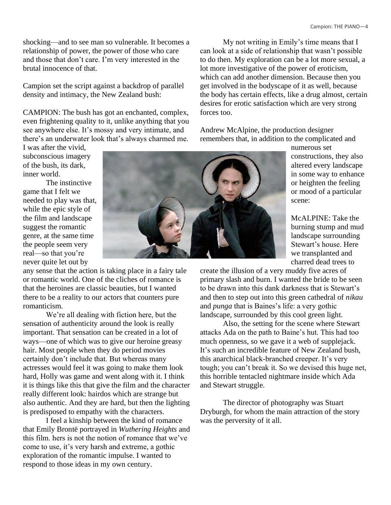shocking—and to see man so vulnerable. It becomes a relationship of power, the power of those who care and those that don't care. I'm very interested in the brutal innocence of that.

Campion set the script against a backdrop of parallel density and intimacy, the New Zealand bush:

CAMPION: The bush has got an enchanted, complex, even frightening quality to it, unlike anything that you see anywhere else. It's mossy and very intimate, and there's an underwater look that's always charmed me.

I was after the vivid, subconscious imagery of the bush, its dark, inner world.

The instinctive game that I felt we needed to play was that, while the epic style of the film and landscape suggest the romantic genre, at the same time the people seem very real—so that you're never quite let out by

any sense that the action is taking place in a fairy tale or romantic world. One of the cliches of romance is that the heroines are classic beauties, but I wanted there to be a reality to our actors that counters pure romanticism.

We're all dealing with fiction here, but the sensation of authenticity around the look is really important. That sensation can be created in a lot of ways—one of which was to give our heroine greasy hair. Most people when they do period movies certainly don't include that. But whereas many actresses would feel it was going to make them look hard, Holly was game and went along with it. I think it is things like this that give the film and the character really different look: hairdos which are strange but also authentic. And they are hard, but then the lighting is predisposed to empathy with the characters.

I feel a kinship between the kind of romance that Emily Brontë portrayed in *Wuthering Heights* and this film. hers is not the notion of romance that we've come to use, it's very harsh and extreme, a gothic exploration of the romantic impulse. I wanted to respond to those ideas in my own century.

My not writing in Emily's time means that I can look at a side of relationship that wasn't possible to do then. My exploration can be a lot more sexual, a lot more investigative of the power of eroticism, which can add another dimension. Because then you get involved in the bodyscape of it as well, because the body has certain effects, like a drug almost, certain desires for erotic satisfaction which are very strong forces too.

Andrew McAlpine, the production designer remembers that, in addition to the complicated and



numerous set constructions, they also altered every landscape in some way to enhance or heighten the feeling or mood of a particular scene:

McALPINE: Take the burning stump and mud landscape surrounding Stewart's house. Here we transplanted and charred dead trees to

create the illusion of a very muddy five acres of primary slash and burn. I wanted the bride to be seen to be drawn into this dank darkness that is Stewart's and then to step out into this green cathedral of *nikau* and *punga* that is Baines's life: a very gothic landscape, surrounded by this cool green light.

Also, the setting for the scene where Stewart attacks Ada on the path to Baine's hut. This had too much openness, so we gave it a web of supplejack. It's such an incredible feature of New Zealand bush, this anarchical black-branched creeper. It's very tough; you can't break it. So we devised this huge net, this horrible tentacled nightmare inside which Ada and Stewart struggle.

The director of photography was Stuart Dryburgh, for whom the main attraction of the story was the perversity of it all.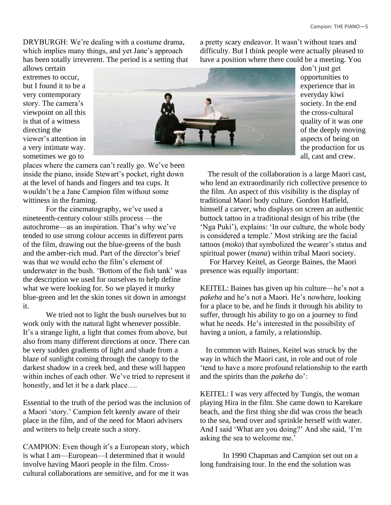DRYBURGH: We're dealing with a costume drama, which implies many things, and yet Jane's approach has been totally irreverent. The period is a setting that

allows certain extremes to occur, but I found it to be a very contemporary story. The camera's viewpoint on all this is that of a witness directing the viewer's attention in a very intimate way. sometimes we go to



places where the camera can't really go. We've been inside the piano, inside Stewart's pocket, right down at the level of hands and fingers and tea cups. It wouldn't be a Jane Campion film without some wittiness in the framing.

For the cinematography, we've used a nineteenth-century colour stills process —the autochrome—as an inspiration. That's why we've tended to use strong colour accents in different parts of the film, drawing out the blue-greens of the bush and the amber-rich mud. Part of the director's brief was that we would echo the film's element of underwater in the bush. 'Bottom of the fish tank' was the description we used for ourselves to help define what we were looking for. So we played it murky blue-green and let the skin tones sit down in amongst it.

We tried not to light the bush ourselves but to work only with the natural light whenever possible. It's a strange light, a light that comes from above, but also from many different directions at once. There can be very sudden gradients of light and shade from a blaze of sunlight coming through the canopy to the darkest shadow in a creek bed, and these will happen within inches of each other. We've tried to represent it honestly, and let it be a dark place….

Essential to the truth of the period was the inclusion of a Maori 'story.' Campion felt keenly aware of their place in the film, and of the need for Maori advisers and writers to help create such a story.

CAMPION: Even though it's a European story, which is what I am—European—I determined that it would involve having Maori people in the film. Crosscultural collaborations are sensitive, and for me it was

a pretty scary endeavor. It wasn't without tears and difficulty. But I think people were actually pleased to have a position where there could be a meeting. You

> don't just get opportunities to experience that in everyday kiwi society. In the end the cross-cultural quality of it was one of the deeply moving aspects of being on the production for us all, cast and crew.

 The result of the collaboration is a large Maori cast, who lend an extraordinarily rich collective presence to the film. An aspect of this visibility is the display of traditional Maori body culture. Gordon Hatfield, himself a carver, who displays on screen an authentic buttock tattoo in a traditional design of his tribe (the 'Nga Puki'), explains: 'In our culture, the whole body is considered a temple.' Most striking are the facial tattoos (*moko*) that symbolized the wearer's status and spiritual power (*mana*) within tribal Maori society.

 For Harvey Keitel, as George Baines, the Maori presence was equally important:

KEITEL: Baines has given up his culture—he's not a *pakeha* and he's not a Maori. He's nowhere, looking for a place to be, and he finds it through his ability to suffer, through his ability to go on a journey to find what he needs. He's interested in the possibility of having a union, a family, a relationship.

 In common with Baines, Keitel was struck by the way in which the Maori cast, in role and out of role 'tend to have a more profound relationship to the earth and the spirits than the *pakeha* do':

KEITEL: I was very affected by Tungis, the woman playing Hira in the film. She came down to Karekare beach, and the first thing she did was cross the beach to the sea, bend over and sprinkle herself with water. And I said 'What are you doing?' And she said, 'I'm asking the sea to welcome me.'

In 1990 Chapman and Campion set out on a long fundraising tour. In the end the solution was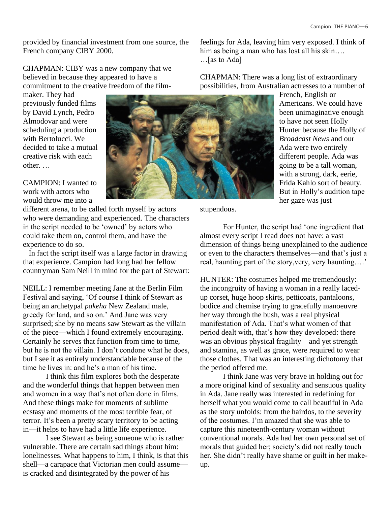provided by financial investment from one source, the French company CIBY 2000.

CHAPMAN: CIBY was a new company that we believed in because they appeared to have a commitment to the creative freedom of the film-

maker. They had previously funded films by David Lynch, Pedro Almodovar and were scheduling a production with Bertolucci. We decided to take a mutual creative risk with each other. …

CAMPION: I wanted to work with actors who would throw me into a

different arena, to be called forth myself by actors who were demanding and experienced. The characters in the script needed to be 'owned' by actors who could take them on, control them, and have the experience to do so.

 In fact the script itself was a large factor in drawing that experience. Campion had long had her fellow countryman Sam Neill in mind for the part of Stewart:

NEILL: I remember meeting Jane at the Berlin Film Festival and saying, 'Of course I think of Stewart as being an archetypal *pakeha* New Zealand male, greedy for land, and so on.' And Jane was very surprised; she by no means saw Stewart as the villain of the piece—which I found extremely encouraging. Certainly he serves that function from time to time, but he is not the villain. I don't condone what he does, but I see it as entirely understandable because of the time he lives in: and he's a man of his time.

I think this film explores both the desperate and the wonderful things that happen between men and women in a way that's not often done in films. And these things make for moments of sublime ecstasy and moments of the most terrible fear, of terror. It's been a pretty scary territory to be acting in—it helps to have had a little life experience.

I see Stewart as being someone who is rather vulnerable. There are certain sad things about him: lonelinesses. What happens to him, I think, is that this shell—a carapace that Victorian men could assume is cracked and disintegrated by the power of his

feelings for Ada, leaving him very exposed. I think of him as being a man who has lost all his skin…. …[as to Ada]

CHAPMAN: There was a long list of extraordinary possibilities, from Australian actresses to a number of

> French, English or Americans. We could have been unimaginative enough to have not seen Holly Hunter because the Holly of *Broadcast News* and our Ada were two entirely different people. Ada was going to be a tall woman, with a strong, dark, eerie, Frida Kahlo sort of beauty. But in Holly's audition tape her gaze was just

stupendous.

For Hunter, the script had 'one ingredient that almost every script I read does not have: a vast dimension of things being unexplained to the audience or even to the characters themselves—and that's just a real, haunting part of the story,very, very haunting….'

HUNTER: The costumes helped me tremendously: the incongruity of having a woman in a really lacedup corset, huge hoop skirts, petticoats, pantaloons, bodice and chemise trying to gracefully manoeuvre her way through the bush, was a real physical manifestation of Ada. That's what women of that period dealt with, that's how they developed: there was an obvious physical fragility—and yet strength and stamina, as well as grace, were required to wear those clothes. That was an interesting dichotomy that the period offered me.

I think Jane was very brave in holding out for a more original kind of sexuality and sensuous quality in Ada. Jane really was interested in redefining for herself what you would come to call beautiful in Ada as the story unfolds: from the hairdos, to the severity of the costumes. I'm amazed that she was able to capture this nineteenth-century woman without conventional morals. Ada had her own personal set of morals that guided her; society's did not really touch her. She didn't really have shame or guilt in her makeup.

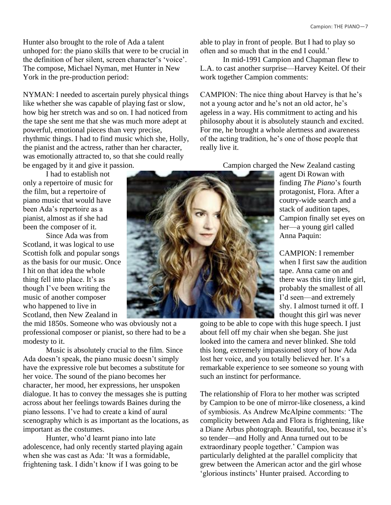Hunter also brought to the role of Ada a talent unhoped for: the piano skills that were to be crucial in the definition of her silent, screen character's 'voice'. The compose, Michael Nyman, met Hunter in New York in the pre-production period:

NYMAN: I needed to ascertain purely physical things like whether she was capable of playing fast or slow, how big her stretch was and so on. I had noticed from the tape she sent me that she was much more adept at powerful, emotional pieces than very precise, rhythmic things. I had to find music which she, Holly, the pianist and the actress, rather than her character, was emotionally attracted to, so that she could really be engaged by it and give it passion.

I had to establish not only a repertoire of music for the film, but a repertoire of piano music that would have been Ada's repertoire as a pianist, almost as if she had been the composer of it.

Since Ada was from Scotland, it was logical to use Scottish folk and popular songs as the basis for our music. Once I hit on that idea the whole thing fell into place. It's as though I've been writing the music of another composer who happened to live in Scotland, then New Zealand in

the mid 1850s. Someone who was obviously not a professional composer or pianist, so there had to be a modesty to it.

Music is absolutely crucial to the film. Since Ada doesn't speak, the piano music doesn't simply have the expressive role but becomes a substitute for her voice. The sound of the piano becomes her character, her mood, her expressions, her unspoken dialogue. It has to convey the messages she is putting across about her feelings towards Baines during the piano lessons. I've had to create a kind of aural scenography which is as important as the locations, as important as the costumes.

Hunter, who'd learnt piano into late adolescence, had only recently started playing again when she was cast as Ada: 'It was a formidable, frightening task. I didn't know if I was going to be

able to play in front of people. But I had to play so often and so much that in the end I could.'

In mid-1991 Campion and Chapman flew to L.A. to cast another surprise—Harvey Keitel. Of their work together Campion comments:

CAMPION: The nice thing about Harvey is that he's not a young actor and he's not an old actor, he's ageless in a way. His commitment to acting and his philosophy about it is absolutely staunch and excited. For me, he brought a whole alertness and awareness of the acting tradition, he's one of those people that really live it.

Campion charged the New Zealand casting

agent Di Rowan with finding *The Piano*'s fourth protagonist, Flora. After a coutry-wide search and a stack of audition tapes, Campion finally set eyes on her—a young girl called Anna Paquin:

CAMPION: I remember when I first saw the audition tape. Anna came on and there was this tiny little girl, probably the smallest of all I'd seen—and extremely shy. I almost turned it off. I thought this girl was never

going to be able to cope with this huge speech. I just about fell off my chair when she began. She just looked into the camera and never blinked. She told this long, extremely impassioned story of how Ada lost her voice, and you totally believed her. It's a remarkable experience to see someone so young with such an instinct for performance.

The relationship of Flora to her mother was scripted by Campion to be one of mirror-like closeness, a kind of symbiosis. As Andrew McAlpine comments: 'The complicity between Ada and Flora is frightening, like a Diane Arbus photograph. Beautiful, too, because it's so tender—and Holly and Anna turned out to be extraordinary people together.' Campion was particularly delighted at the parallel complicity that grew between the American actor and the girl whose 'glorious instincts' Hunter praised. According to

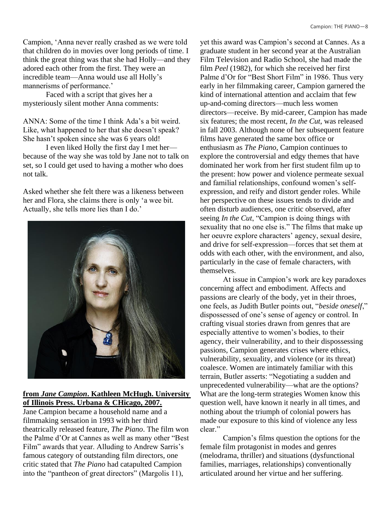Campion, 'Anna never really crashed as we were told that children do in movies over long periods of time. I think the great thing was that she had Holly—and they adored each other from the first. They were an incredible team—Anna would use all Holly's mannerisms of performance.'

Faced with a script that gives her a mysteriously silent mother Anna comments:

ANNA: Some of the time I think Ada's a bit weird. Like, what happened to her that she doesn't speak? She hasn't spoken since she was 6 years old!

I even liked Holly the first day I met her because of the way she was told by Jane not to talk on set, so I could get used to having a mother who does not talk.

Asked whether she felt there was a likeness between her and Flora, she claims there is only 'a wee bit. Actually, she tells more lies than I do.'



## **from** *Jane Campion***. Kathleen McHugh. University of Illinois Press. Urbana & CHicago, 2007.**

Jane Campion became a household name and a filmmaking sensation in 1993 with her third theatrically released feature, *The Piano*. The film won the Palme d'Or at Cannes as well as many other "Best Film" awards that year. Alluding to Andrew Sarris's famous category of outstanding film directors, one critic stated that *The Piano* had catapulted Campion into the "pantheon of great directors" (Margolis 11),

yet this award was Campion's second at Cannes. As a graduate student in her second year at the Australian Film Television and Radio School, she had made the film *Peel* (1982), for which she received her first Palme d'Or for "Best Short Film" in 1986. Thus very early in her filmmaking career, Campion garnered the kind of international attention and acclaim that few up-and-coming directors—much less women directors—receive. By mid-career, Campion has made six features; the most recent, *In the Cut*, was released in fall 2003. Although none of her subsequent feature films have generated the same box office or enthusiasm as *The Piano*, Campion continues to explore the controversial and edgy themes that have dominated her work from her first student film up to the present: how power and violence permeate sexual and familial relationships, confound women's selfexpression, and reify and distort gender roles. While her perspective on these issues tends to divide and often disturb audiences, one critic observed, after seeing *In the Cut*, "Campion is doing things with sexuality that no one else is." The films that make up her oeuvre explore characters' agency, sexual desire, and drive for self-expression—forces that set them at odds with each other, with the environment, and also, particularly in the case of female characters, with themselves.

At issue in Campion's work are key paradoxes concerning affect and embodiment. Affects and passions are clearly of the body, yet in their throes, one feels, as Judith Butler points out, "*beside oneself*," dispossessed of one's sense of agency or control. In crafting visual stories drawn from genres that are especially attentive to women's bodies, to their agency, their vulnerability, and to their dispossessing passions, Campion generates crises where ethics, vulnerability, sexuality, and violence (or its threat) coalesce. Women are intimately familiar with this terrain, Butler asserts: "Negotiating a sudden and unprecedented vulnerability—what are the options? What are the long-term strategies Women know this question well, have known it nearly in all times, and nothing about the triumph of colonial powers has made our exposure to this kind of violence any less clear."

Campion's films question the options for the female film protagonist in modes and genres (melodrama, thriller) and situations (dysfunctional families, marriages, relationships) conventionally articulated around her virtue and her suffering.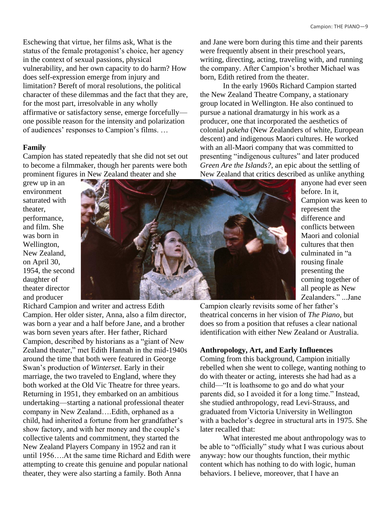Eschewing that virtue, her films ask, What is the status of the female protagonist's choice, her agency in the context of sexual passions, physical vulnerability, and her own capacity to do harm? How does self-expression emerge from injury and limitation? Bereft of moral resolutions, the political character of these dilemmas and the fact that they are, for the most part, irresolvable in any wholly affirmative or satisfactory sense, emerge forcefully one possible reason for the intensity and polarization of audiences' responses to Campion's films. …

#### **Family**

Campion has stated repeatedly that she did not set out to become a filmmaker, though her parents were both prominent figures in New Zealand theater and she

grew up in an environment saturated with theater, performance, and film. She was born in Wellington, New Zealand, on April 30, 1954, the second daughter of theater director and producer



Richard Campion and writer and actress Edith Campion. Her older sister, Anna, also a film director, was born a year and a half before Jane, and a brother was born seven years after. Her father, Richard Campion, described by historians as a "giant of New Zealand theater," met Edith Hannah in the mid-1940s around the time that both were featured in George Swan's production of *Winterset*. Early in their marriage, the two traveled to England, where they both worked at the Old Vic Theatre for three years. Returning in 1951, they embarked on an ambitious undertaking—starting a national professional theater company in New Zealand….Edith, orphaned as a child, had inherited a fortune from her grandfather's show factory, and with her money and the couple's collective talents and commitment, they started the New Zealand Players Company in 1952 and ran it until 1956….At the same time Richard and Edith were attempting to create this genuine and popular national theater, they were also starting a family. Both Anna

and Jane were born during this time and their parents were frequently absent in their preschool years, writing, directing, acting, traveling with, and running the company. After Campion's brother Michael was born, Edith retired from the theater.

In the early 1960s Richard Campion started the New Zealand Theatre Company, a stationary group located in Wellington. He also continued to pursue a national dramaturgy in his work as a producer, one that incorporated the aesthetics of colonial *pakeha* (New Zealanders of white, European descent) and indigenous Maori cultures. He worked with an all-Maori company that was committed to presenting "indigenous cultures" and later produced *Green Are the Islands?,* an epic about the settling of New Zealand that critics described as unlike anything

anyone had ever seen before. In it, Campion was keen to represent the difference and conflicts between Maori and colonial cultures that then culminated in "a rousing finale presenting the coming together of all people as New Zealanders." ...Jane

Campion clearly revisits some of her father's theatrical concerns in her vision of *The Piano*, but does so from a position that refuses a clear national identification with either New Zealand or Australia.

#### **Anthropology, Art, and Early Influences**

Coming from this background, Campion initially rebelled when she went to college, wanting nothing to do with theater or acting, interests she had had as a child—"It is loathsome to go and do what your parents did, so I avoided it for a long time." Instead, she studied anthropology, read Levi-Strauss, and graduated from Victoria University in Wellington with a bachelor's degree in structural arts in 1975. She later recalled that:

What interested me about anthropology was to be able to "officially" study what I was curious about anyway: how our thoughts function, their mythic content which has nothing to do with logic, human behaviors. I believe, moreover, that I have an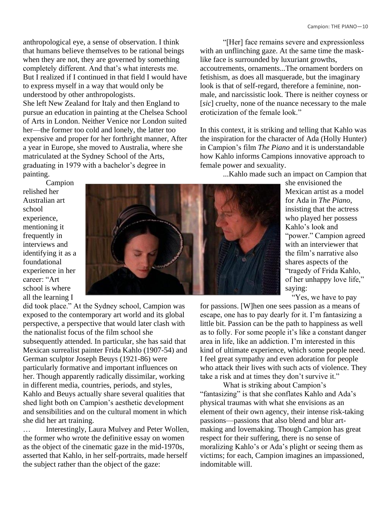anthropological eye, a sense of observation. I think that humans believe themselves to be rational beings when they are not, they are governed by something completely different. And that's what interests me. But I realized if I continued in that field I would have to express myself in a way that would only be understood by other anthropologists. She left New Zealand for Italy and then England to pursue an education in painting at the Chelsea School of Arts in London. Neither Venice nor London suited her—the former too cold and lonely, the latter too expensive and proper for her forthright manner, After a year in Europe, she moved to Australia, where she matriculated at the Sydney School of the Arts, graduating in 1979 with a bachelor's degree in painting.

"[Her] face remains severe and expressionless with an unflinching gaze. At the same time the masklike face is surrounded by luxuriant growths, accoutrements, ornaments...The ornament borders on fetishism, as does all masquerade, but the imaginary look is that of self-regard, therefore a feminine, nonmale, and narcissistic look. There is neither coyness or [*sic*] cruelty, none of the nuance necessary to the male eroticization of the female look."

In this context, it is striking and telling that Kahlo was the inspiration for the character of Ada (Holly Hunter) in Campion's film *The Piano* and it is understandable how Kahlo informs Campions innovative approach to female power and sexuality.

...Kahlo made such an impact on Campion that

she envisioned the Mexican artist as a model for Ada in *The Piano*, insisting that the actress who played her possess Kahlo's look and "power." Campion agreed with an interviewer that the film's narrative also shares aspects of the "tragedy of Frida Kahlo, of her unhappy love life," saying:

"Yes, we have to pay

for passions. [W]hen one sees passion as a means of escape, one has to pay dearly for it. I'm fantasizing a little bit. Passion can be the path to happiness as well as to folly. For some people it's like a constant danger area in life, like an addiction. I'm interested in this kind of ultimate experience, which some people need. I feel great sympathy and even adoration for people who attack their lives with such acts of violence. They take a risk and at times they don't survive it."

What is striking about Campion's "fantasizing" is that she conflates Kahlo and Ada's physical traumas with what she envisions as an element of their own agency, their intense risk-taking passions—passions that also blend and blur artmaking and lovemaking. Though Campion has great respect for their suffering, there is no sense of moralizing Kahlo's or Ada's plight or seeing them as victims; for each, Campion imagines an impassioned, indomitable will.

Campion relished her Australian art school experience, mentioning it frequently in interviews and identifying it as a foundational experience in her career: "Art school is where all the learning I



did took place." At the Sydney school, Campion was exposed to the contemporary art world and its global perspective, a perspective that would later clash with the nationalist focus of the film school she subsequently attended. In particular, she has said that Mexican surrealist painter Frida Kahlo (1907-54) and German sculptor Joseph Beuys (1921-86) were particularly formative and important influences on her. Though apparently radically dissimilar, working in different media, countries, periods, and styles, Kahlo and Beuys actually share several qualities that shed light both on Campion's aesthetic development and sensibilities and on the cultural moment in which she did her art training.

… Interestingly, Laura Mulvey and Peter Wollen, the former who wrote the definitive essay on women as the object of the cinematic gaze in the mid-1970s, asserted that Kahlo, in her self-portraits, made herself the subject rather than the object of the gaze: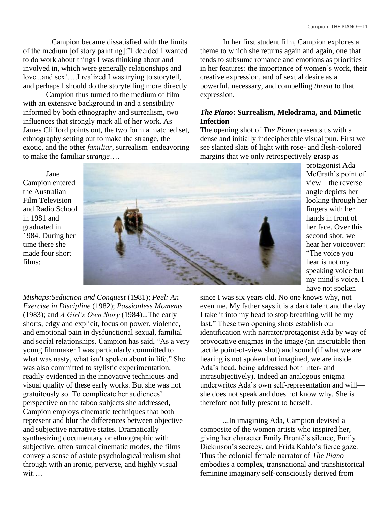...Campion became dissatisfied with the limits of the medium [of story painting]:"I decided I wanted to do work about things I was thinking about and involved in, which were generally relationships and love...and sex!….I realized I was trying to storytell, and perhaps I should do the storytelling more directly.

Campion thus turned to the medium of film with an extensive background in and a sensibility informed by both ethnography and surrealism, two influences that strongly mark all of her work. As James Clifford points out, the two form a matched set, ethnography setting out to make the strange, the exotic, and the other *familiar*, surrealism endeavoring to make the familiar *strange*….

In her first student film, Campion explores a theme to which she returns again and again, one that tends to subsume romance and emotions as priorities in her features: the importance of women's work, their creative expression, and of sexual desire as a powerful, necessary, and compelling *threat* to that expression.

## *The Piano***: Surrealism, Melodrama, and Mimetic Infection**

The opening shot of *The Piano* presents us with a dense and initially indecipherable visual pun. First we see slanted slats of light with rose- and flesh-colored margins that we only retrospectively grasp as

> protagonist Ada McGrath's point of view—the reverse angle depicts her looking through her fingers with her hands in front of her face. Over this second shot, we hear her voiceover: "The voice you hear is not my speaking voice but my mind's voice. I have not spoken

since I was six years old. No one knows why, not even me. My father says it is a dark talent and the day I take it into my head to stop breathing will be my last." These two opening shots establish our identification with narrator/protagonist Ada by way of provocative enigmas in the image (an inscrutable then tactile point-of-view shot) and sound (if what we are hearing is not spoken but imagined, we are inside Ada's head, being addressed both inter- and intrasubjectively). Indeed an analogous enigma underwrites Ada's own self-representation and will she does not speak and does not know why. She is therefore not fully present to herself.

...In imagining Ada, Campion devised a composite of the women artists who inspired her, giving her character Emily Brontë's silence, Emily Dickinson's secrecy, and Frida Kahlo's fierce gaze. Thus the colonial female narrator of *The Piano* embodies a complex, transnational and transhistorical feminine imaginary self-consciously derived from

Jane Campion entered the Australian Film Television and Radio School in 1981 and graduated in 1984. During her time there she made four short films:

*Mishaps:Seduction and Conquest* (1981); *Peel: An Exercise in Discipline* (1982); *Passionless Moments* (1983); and *A Girl's Own Story* (1984)...The early shorts, edgy and explicit, focus on power, violence, and emotional pain in dysfunctional sexual, familial and social relationships. Campion has said, "As a very young filmmaker I was particularly committed to what was nasty, what isn't spoken about in life." She was also committed to stylistic experimentation, readily evidenced in the innovative techniques and visual quality of these early works. But she was not gratuitously so. To complicate her audiences' perspective on the taboo subjects she addressed, Campion employs cinematic techniques that both represent and blur the differences between objective and subjective narrative states. Dramatically synthesizing documentary or ethnographic with subjective, often surreal cinematic modes, the films convey a sense of astute psychological realism shot through with an ironic, perverse, and highly visual wit….

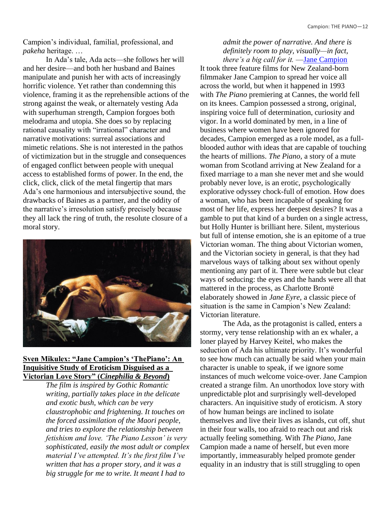Campion's individual, familial, professional, and *pakeha* heritage. …

In Ada's tale, Ada acts—she follows her will and her desire—and both her husband and Baines manipulate and punish her with acts of increasingly horrific violence. Yet rather than condemning this violence, framing it as the reprehensible actions of the strong against the weak, or alternately vesting Ada with superhuman strength, Campion forgoes both melodrama and utopia. She does so by replacing rational causality with "irrational" character and narrative motivations: surreal associations and mimetic relations. She is not interested in the pathos of victimization but in the struggle and consequences of engaged conflict between people with unequal access to established forms of power. In the end, the click, click, click of the metal fingertip that mars Ada's one harmonious and intersubjective sound, the drawbacks of Baines as a partner, and the oddity of the narrative's irresolution satisfy precisely because they all lack the ring of truth, the resolute closure of a moral story.



## **Sven Mikulex: "Jane Campion's 'ThePiano': An Inquisitive Study of Eroticism Disguised as a Victorian Love Story" (***Cinephilia & Beyond***)**

*The film is inspired by Gothic Romantic writing, partially takes place in the delicate and exotic bush, which can be very claustrophobic and frightening. It touches on the forced assimilation of the Maori people, and tries to explore the relationship between fetishism and love. 'The Piano Lesson' is very sophisticated, easily the most adult or complex material I've attempted. It's the first film I've written that has a proper story, and it was a big struggle for me to write. It meant I had to* 

*admit the power of narrative. And there is definitely room to play, visually—in fact, there's a big call for it.* [—Jane Campion](https://www.interviewmagazine.com/film/new-again-jane-campion#_) It took three feature films for New Zealand-born filmmaker Jane Campion to spread her voice all across the world, but when it happened in 1993 with *The Piano* premiering at Cannes, the world fell on its knees. Campion possessed a strong, original, inspiring voice full of determination, curiosity and vigor. In a world dominated by men, in a line of business where women have been ignored for decades, Campion emerged as a role model, as a fullblooded author with ideas that are capable of touching the hearts of millions. *The Piano*, a story of a mute woman from Scotland arriving at New Zealand for a fixed marriage to a man she never met and she would probably never love, is an erotic, psychologically explorative odyssey chock-full of emotion. How does a woman, who has been incapable of speaking for most of her life, express her deepest desires? It was a gamble to put that kind of a burden on a single actress, but Holly Hunter is brilliant here. Silent, mysterious but full of intense emotion, she is an epitome of a true Victorian woman. The thing about Victorian women, and the Victorian society in general, is that they had marvelous ways of talking about sex without openly mentioning any part of it. There were subtle but clear ways of seducing: the eyes and the hands were all that mattered in the process, as Charlotte Brontë elaborately showed in *Jane Eyre*, a classic piece of situation is the same in Campion's New Zealand: Victorian literature.

The Ada, as the protagonist is called, enters a stormy, very tense relationship with an ex whaler, a loner played by Harvey Keitel, who makes the seduction of Ada his ultimate priority. It's wonderful to see how much can actually be said when your main character is unable to speak, if we ignore some instances of much welcome voice-over. Jane Campion created a strange film. An unorthodox love story with unpredictable plot and surprisingly well-developed characters. An inquisitive study of eroticism. A story of how human beings are inclined to isolate themselves and live their lives as islands, cut off, shut in their four walls, too afraid to reach out and risk actually feeling something. With *The Piano*, Jane Campion made a name of herself, but even more importantly, immeasurably helped promote gender equality in an industry that is still struggling to open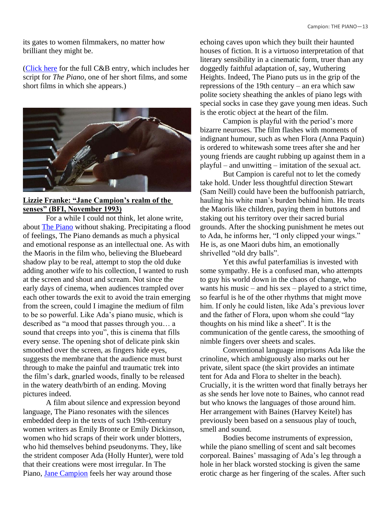its gates to women filmmakers, no matter how brilliant they might be.

[\(Click here](https://cinephiliabeyond.org/jane-campions-the-piano/) for the full C&B entry, which includes her script for *The Piano*, one of her short films, and some short films in which she appears.)



## **Lizzie Franke: "Jane Campion's realm of the senses" (BFI, November 1993)**

For a while I could not think, let alone write, about [The Piano](http://www.bfi.org.uk/films-tv-people/4ce2b7b54d000) without shaking. Precipitating a flood of feelings, The Piano demands as much a physical and emotional response as an intellectual one. As with the Maoris in the film who, believing the Bluebeard shadow play to be real, attempt to stop the old duke adding another wife to his collection, I wanted to rush at the screen and shout and scream. Not since the early days of cinema, when audiences trampled over each other towards the exit to avoid the train emerging from the screen, could I imagine the medium of film to be so powerful. Like Ada's piano music, which is described as "a mood that passes through you… a sound that creeps into you", this is cinema that fills every sense. The opening shot of delicate pink skin smoothed over the screen, as fingers hide eyes, suggests the membrane that the audience must burst through to make the painful and traumatic trek into the film's dark, gnarled woods, finally to be released in the watery death/birth of an ending. Moving pictures indeed.

A film about silence and expression beyond language, The Piano resonates with the silences embedded deep in the texts of such 19th-century women writers as Emily Bronte or Emily Dickinson, women who hid scraps of their work under blotters, who hid themselves behind pseudonyms. They, like the strident composer Ada (Holly Hunter), were told that their creations were most irregular. In The Piano, [Jane Campion](http://www.bfi.org.uk/films-tv-people/4ce2ba38df0f9) feels her way around those

echoing caves upon which they built their haunted houses of fiction. It is a virtuoso interpretation of that literary sensibility in a cinematic form, truer than any doggedly faithful adaptation of, say, Wuthering Heights. Indeed, The Piano puts us in the grip of the repressions of the 19th century – an era which saw polite society sheathing the ankles of piano legs with special socks in case they gave young men ideas. Such is the erotic object at the heart of the film.

Campion is playful with the period's more bizarre neuroses. The film flashes with moments of indignant humour, such as when Flora (Anna Paquin) is ordered to whitewash some trees after she and her young friends are caught rubbing up against them in a playful – and unwitting – imitation of the sexual act.

But Campion is careful not to let the comedy take hold. Under less thoughtful direction Stewart (Sam Neill) could have been the buffoonish patriarch, hauling his white man's burden behind him. He treats the Maoris like children, paying them in buttons and staking out his territory over their sacred burial grounds. After the shocking punishment he metes out to Ada, he informs her, "I only clipped your wings." He is, as one Maori dubs him, an emotionally shrivelled "old dry balls".

Yet this awful paterfamilias is invested with some sympathy. He is a confused man, who attempts to guy his world down in the chaos of change, who wants his music – and his sex – played to a strict time, so fearful is he of the other rhythms that might move him. If only he could listen, like Ada's previous lover and the father of Flora, upon whom she could "lay thoughts on his mind like a sheet". It is the communication of the gentle caress, the smoothing of nimble fingers over sheets and scales.

Conventional language imprisons Ada like the crinoline, which ambiguously also marks out her private, silent space (the skirt provides an intimate tent for Ada and Flora to shelter in the beach). Crucially, it is the written word that finally betrays her as she sends her love note to Baines, who cannot read but who knows the languages of those around him. Her arrangement with Baines (Harvey Keitel) has previously been based on a sensuous play of touch, smell and sound.

Bodies become instruments of expression, while the piano smelling of scent and salt becomes corporeal. Baines' massaging of Ada's leg through a hole in her black worsted stocking is given the same erotic charge as her fingering of the scales. After such